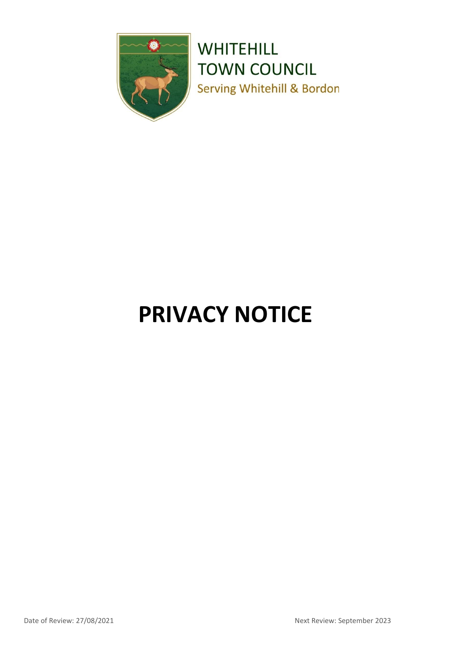

**WHITEHILL TOWN COUNCIL Serving Whitehill & Bordon** 

# **PRIVACY NOTICE**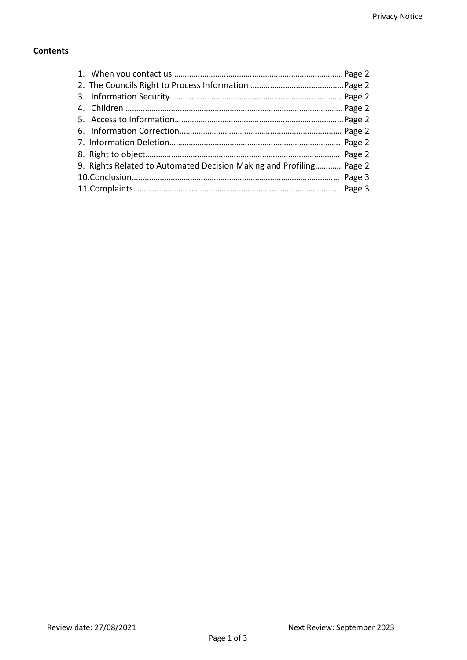# **Contents**

| 9. Rights Related to Automated Decision Making and Profiling Page 2 |  |
|---------------------------------------------------------------------|--|
|                                                                     |  |
|                                                                     |  |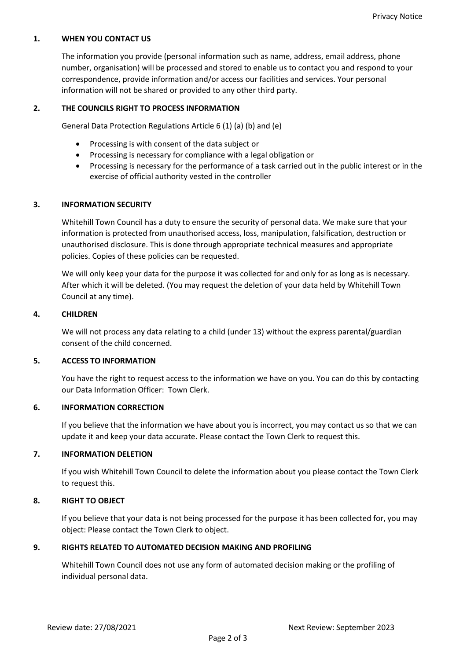#### **1. WHEN YOU CONTACT US**

The information you provide (personal information such as name, address, email address, phone number, organisation) will be processed and stored to enable us to contact you and respond to your correspondence, provide information and/or access our facilities and services. Your personal information will not be shared or provided to any other third party.

#### **2. THE COUNCILS RIGHT TO PROCESS INFORMATION**

General Data Protection Regulations Article 6 (1) (a) (b) and (e)

- Processing is with consent of the data subject or
- Processing is necessary for compliance with a legal obligation or
- Processing is necessary for the performance of a task carried out in the public interest or in the exercise of official authority vested in the controller

#### **3. INFORMATION SECURITY**

Whitehill Town Council has a duty to ensure the security of personal data. We make sure that your information is protected from unauthorised access, loss, manipulation, falsification, destruction or unauthorised disclosure. This is done through appropriate technical measures and appropriate policies. Copies of these policies can be requested.

We will only keep your data for the purpose it was collected for and only for as long as is necessary. After which it will be deleted. (You may request the deletion of your data held by Whitehill Town Council at any time).

#### **4. CHILDREN**

We will not process any data relating to a child (under 13) without the express parental/guardian consent of the child concerned.

#### **5. ACCESS TO INFORMATION**

You have the right to request access to the information we have on you. You can do this by contacting our Data Information Officer: Town Clerk.

## **6. INFORMATION CORRECTION**

If you believe that the information we have about you is incorrect, you may contact us so that we can update it and keep your data accurate. Please contact the Town Clerk to request this.

## **7. INFORMATION DELETION**

If you wish Whitehill Town Council to delete the information about you please contact the Town Clerk to request this.

## **8. RIGHT TO OBJECT**

If you believe that your data is not being processed for the purpose it has been collected for, you may object: Please contact the Town Clerk to object.

## **9. RIGHTS RELATED TO AUTOMATED DECISION MAKING AND PROFILING**

Whitehill Town Council does not use any form of automated decision making or the profiling of individual personal data.